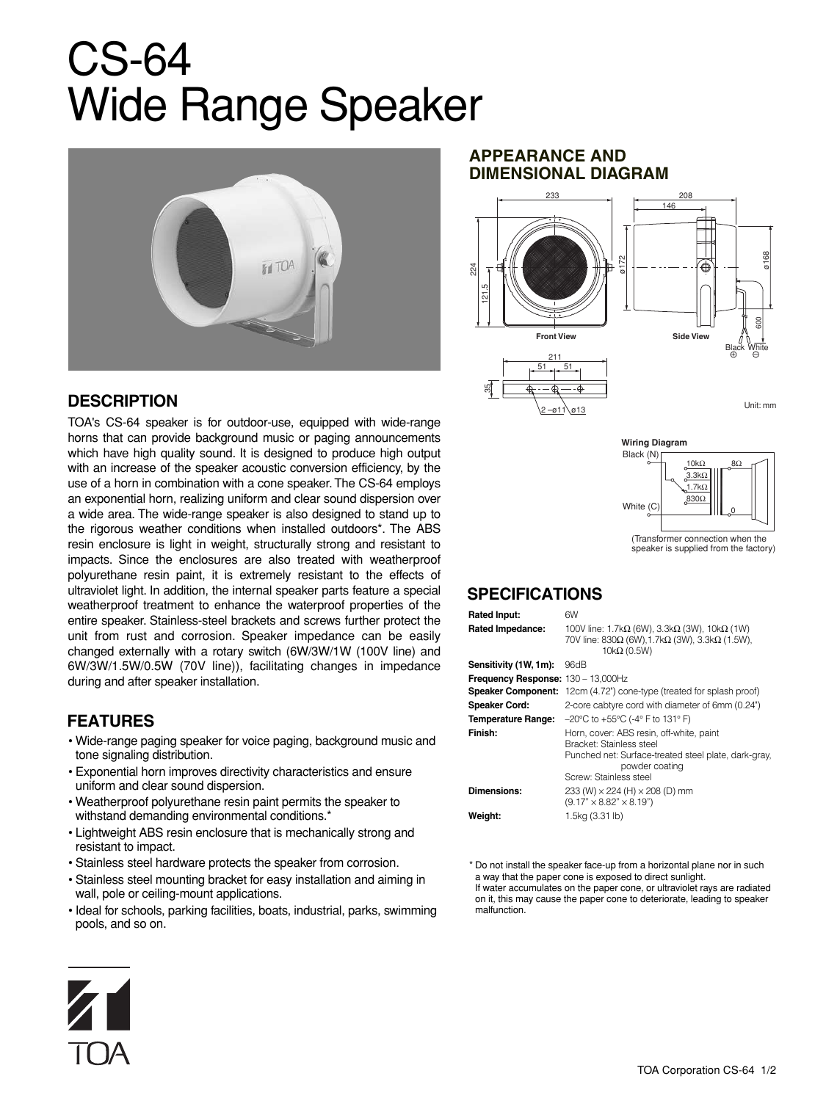# CS-64 Wide Range Speaker



## **DESCRIPTION**

TOA's CS-64 speaker is for outdoor-use, equipped with wide-range horns that can provide background music or paging announcements which have high quality sound. It is designed to produce high output with an increase of the speaker acoustic conversion efficiency, by the use of a horn in combination with a cone speaker. The CS-64 employs an exponential horn, realizing uniform and clear sound dispersion over a wide area. The wide-range speaker is also designed to stand up to the rigorous weather conditions when installed outdoors\*. The ABS resin enclosure is light in weight, structurally strong and resistant to impacts. Since the enclosures are also treated with weatherproof polyurethane resin paint, it is extremely resistant to the effects of ultraviolet light. In addition, the internal speaker parts feature a special weatherproof treatment to enhance the waterproof properties of the entire speaker. Stainless-steel brackets and screws further protect the unit from rust and corrosion. Speaker impedance can be easily changed externally with a rotary switch (6W/3W/1W (100V line) and 6W/3W/1.5W/0.5W (70V line)), facilitating changes in impedance during and after speaker installation.

## **FEATURES**

ZT.

- Wide-range paging speaker for voice paging, background music and tone signaling distribution.
- Exponential horn improves directivity characteristics and ensure uniform and clear sound dispersion.
- Weatherproof polyurethane resin paint permits the speaker to withstand demanding environmental conditions.<sup>\*</sup>
- Lightweight ABS resin enclosure that is mechanically strong and resistant to impact.
- Stainless steel hardware protects the speaker from corrosion.
- Stainless steel mounting bracket for easy installation and aiming in wall, pole or ceiling-mount applications.
- Ideal for schools, parking facilities, boats, industrial, parks, swimming pools, and so on.

#### **APPEARANCE AND DIMENSIONAL DIAGRAM**

2 –ø11 ø13



Unit: mm



speaker is supplied from the factory)

## **SPECIFICATIONS**

| <b>Rated Input:</b>                | 6W                                                                                                                                                                       |
|------------------------------------|--------------------------------------------------------------------------------------------------------------------------------------------------------------------------|
| <b>Rated Impedance:</b>            | 100V line: 1.7kΩ (6W), 3.3kΩ (3W), 10kΩ (1W)<br>70V line: 830 $\Omega$ (6W), 1.7k $\Omega$ (3W), 3.3k $\Omega$ (1.5W),<br>$10k\Omega$ (0.5W)                             |
| Sensitivity (1W, 1m):              | 96dB                                                                                                                                                                     |
| Frequency Response: 130 - 13,000Hz |                                                                                                                                                                          |
|                                    | <b>Speaker Component:</b> 12cm (4.72") cone-type (treated for splash proof)                                                                                              |
| <b>Speaker Cord:</b>               | 2-core cabtyre cord with diameter of 6mm (0.24")                                                                                                                         |
| <b>Temperature Range:</b>          | $-20^{\circ}$ C to +55 $^{\circ}$ C (-4 $^{\circ}$ F to 131 $^{\circ}$ F)                                                                                                |
| Finish:                            | Horn, cover: ABS resin, off-white, paint<br>Bracket: Stainless steel<br>Punched net: Surface-treated steel plate, dark-gray,<br>powder coating<br>Screw: Stainless steel |
| Dimensions:                        | 233 (W) $\times$ 224 (H) $\times$ 208 (D) mm<br>$(9.17" \times 8.82" \times 8.19")$                                                                                      |
| Weight:                            | 1.5kg (3.31 lb)                                                                                                                                                          |

\* Do not install the speaker face-up from a horizontal plane nor in such a way that the paper cone is exposed to direct sunlight.

If water accumulates on the paper cone, or ultraviolet rays are radiated on it, this may cause the paper cone to deteriorate, leading to speaker malfunction.